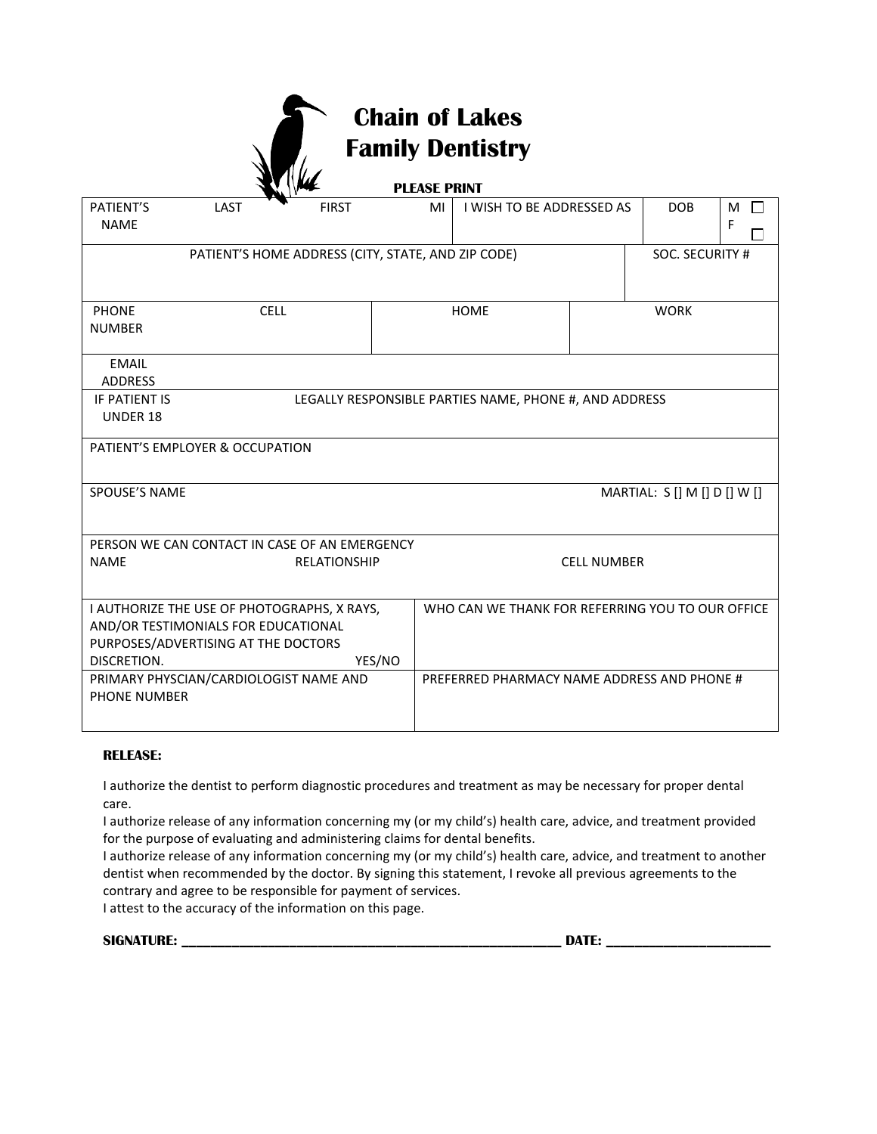# **Chain of Lakes Family Dentistry**

|                                  |                                                                            | WK                                                                   | <b>PLEASE PRINT</b> |                                                  |                    |                              |                  |
|----------------------------------|----------------------------------------------------------------------------|----------------------------------------------------------------------|---------------------|--------------------------------------------------|--------------------|------------------------------|------------------|
| PATIENT'S<br><b>NAME</b>         | LAST                                                                       | <b>FIRST</b>                                                         | MI                  | I WISH TO BE ADDRESSED AS                        |                    | <b>DOB</b>                   | M<br>$\Box$<br>F |
|                                  |                                                                            | PATIENT'S HOME ADDRESS (CITY, STATE, AND ZIP CODE)                   |                     |                                                  |                    | SOC. SECURITY #              |                  |
| <b>PHONE</b><br><b>NUMBER</b>    | <b>CELL</b>                                                                |                                                                      | <b>HOME</b>         |                                                  | <b>WORK</b>        |                              |                  |
| <b>EMAIL</b><br><b>ADDRESS</b>   |                                                                            |                                                                      |                     |                                                  |                    |                              |                  |
| IF PATIENT IS<br><b>UNDER 18</b> | LEGALLY RESPONSIBLE PARTIES NAME, PHONE #, AND ADDRESS                     |                                                                      |                     |                                                  |                    |                              |                  |
|                                  | PATIENT'S EMPLOYER & OCCUPATION                                            |                                                                      |                     |                                                  |                    |                              |                  |
| SPOUSE'S NAME                    |                                                                            |                                                                      |                     |                                                  |                    | MARTIAL: S [] M [] D [] W [] |                  |
| <b>NAME</b>                      |                                                                            | PERSON WE CAN CONTACT IN CASE OF AN EMERGENCY<br><b>RELATIONSHIP</b> |                     |                                                  | <b>CELL NUMBER</b> |                              |                  |
| DISCRETION.                      | AND/OR TESTIMONIALS FOR EDUCATIONAL<br>PURPOSES/ADVERTISING AT THE DOCTORS | I AUTHORIZE THE USE OF PHOTOGRAPHS, X RAYS,<br>YES/NO                |                     | WHO CAN WE THANK FOR REFERRING YOU TO OUR OFFICE |                    |                              |                  |
| <b>PHONE NUMBER</b>              | PRIMARY PHYSCIAN/CARDIOLOGIST NAME AND                                     |                                                                      |                     | PREFERRED PHARMACY NAME ADDRESS AND PHONE #      |                    |                              |                  |

#### **RELEASE:**

I authorize the dentist to perform diagnostic procedures and treatment as may be necessary for proper dental care.

I authorize release of any information concerning my (or my child's) health care, advice, and treatment provided for the purpose of evaluating and administering claims for dental benefits.

I authorize release of any information concerning my (or my child's) health care, advice, and treatment to another dentist when recommended by the doctor. By signing this statement, I revoke all previous agreements to the contrary and agree to be responsible for payment of services.

I attest to the accuracy of the information on this page.

**SIGNATURE:**  $\qquad \qquad \Box$ 

| ATE: |  |
|------|--|
|      |  |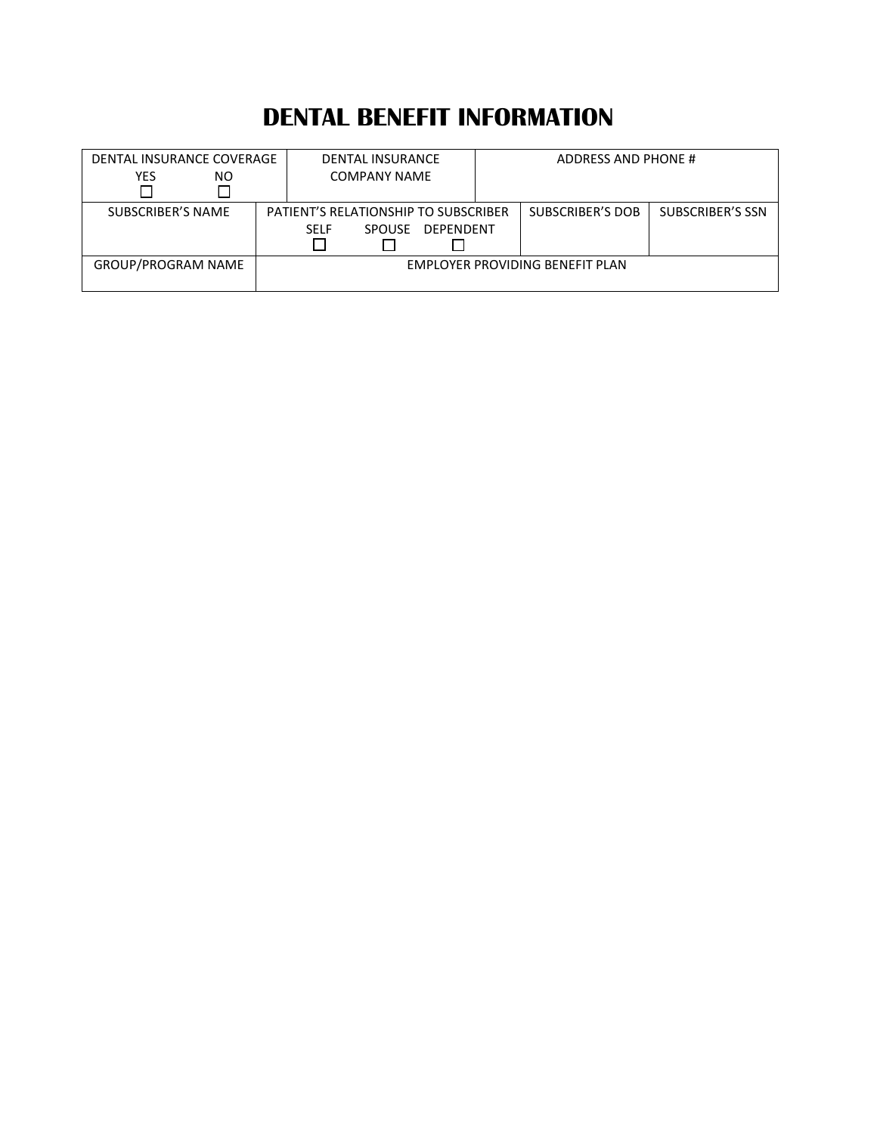## **DENTAL BENEFIT INFORMATION**

| DENTAL INSURANCE COVERAGE |  | <b>DENTAL INSURANCE</b>              |  | ADDRESS AND PHONE #             |                  |  |
|---------------------------|--|--------------------------------------|--|---------------------------------|------------------|--|
| <b>YES</b><br>NO.         |  | COMPANY NAME                         |  |                                 |                  |  |
|                           |  |                                      |  |                                 |                  |  |
| <b>SUBSCRIBER'S NAME</b>  |  | PATIENT'S RELATIONSHIP TO SUBSCRIBER |  | <b>SUBSCRIBER'S DOB</b>         | SUBSCRIBER'S SSN |  |
|                           |  | DEPENDENT<br>SPOUSE<br><b>SFLF</b>   |  |                                 |                  |  |
|                           |  |                                      |  |                                 |                  |  |
| <b>GROUP/PROGRAM NAME</b> |  |                                      |  | EMPLOYER PROVIDING BENEFIT PLAN |                  |  |
|                           |  |                                      |  |                                 |                  |  |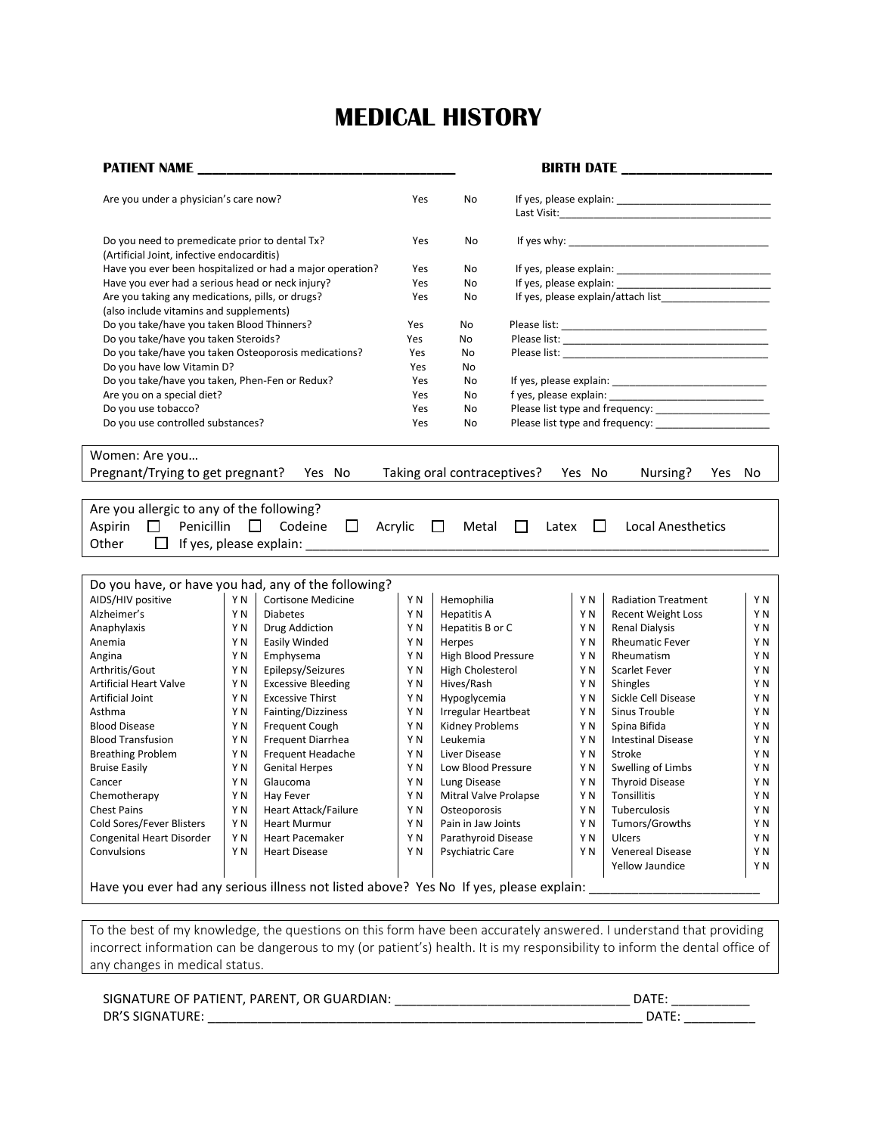## **MEDICAL HISTORY**

| <b>PATIENT NAME</b>                                                                                                |        |                                                           |                |                             |                 |                | <b>BIRTH DATE</b> ____________________ |                          |
|--------------------------------------------------------------------------------------------------------------------|--------|-----------------------------------------------------------|----------------|-----------------------------|-----------------|----------------|----------------------------------------|--------------------------|
| Are you under a physician's care now?                                                                              |        |                                                           | Yes            | No                          |                 |                |                                        |                          |
| Do you need to premedicate prior to dental Tx?<br>(Artificial Joint, infective endocarditis)                       |        |                                                           | Yes            | No                          |                 |                |                                        |                          |
|                                                                                                                    |        | Have you ever been hospitalized or had a major operation? | Yes            | No                          |                 |                |                                        |                          |
| Have you ever had a serious head or neck injury?                                                                   |        |                                                           | Yes            | No                          |                 |                |                                        |                          |
| Are you taking any medications, pills, or drugs?                                                                   |        |                                                           | Yes            | No                          |                 |                |                                        |                          |
| (also include vitamins and supplements)                                                                            |        |                                                           |                |                             |                 |                |                                        |                          |
| Do you take/have you taken Blood Thinners?                                                                         |        |                                                           | Yes            | No                          |                 |                |                                        |                          |
| Do you take/have you taken Steroids?                                                                               |        |                                                           | Yes            | No                          |                 |                |                                        |                          |
| Do you take/have you taken Osteoporosis medications?                                                               |        |                                                           | Yes            | No                          |                 |                |                                        |                          |
| Do you have low Vitamin D?                                                                                         |        |                                                           | Yes            | No                          |                 |                |                                        |                          |
| Do you take/have you taken, Phen-Fen or Redux?                                                                     |        |                                                           | Yes            | No                          |                 |                |                                        |                          |
| Are you on a special diet?                                                                                         |        |                                                           | Yes            | No                          |                 |                |                                        |                          |
| Do you use tobacco?                                                                                                |        |                                                           | Yes            | No                          |                 |                |                                        |                          |
| Do you use controlled substances?                                                                                  |        |                                                           | Yes            | No                          |                 |                |                                        |                          |
| Women: Are you<br>Pregnant/Trying to get pregnant? Yes No                                                          |        |                                                           |                | Taking oral contraceptives? |                 | Yes No         | Nursing?<br>Yes No                     |                          |
|                                                                                                                    |        |                                                           |                |                             |                 |                |                                        |                          |
| Are you allergic to any of the following?                                                                          |        |                                                           |                |                             |                 |                |                                        |                          |
| Penicillin<br>Aspirin<br>$\Box$                                                                                    | $\Box$ | $\Box$<br>Codeine                                         | Acrylic        | Metal<br>$\Box$             | $\Box$<br>Latex | $\Box$         | <b>Local Anesthetics</b>               |                          |
| $\Box$ If yes, please explain: $\Box$<br>Other                                                                     |        |                                                           |                |                             |                 |                |                                        |                          |
|                                                                                                                    |        |                                                           |                |                             |                 |                |                                        |                          |
|                                                                                                                    |        |                                                           |                |                             |                 |                |                                        |                          |
| Do you have, or have you had, any of the following?                                                                |        |                                                           |                |                             |                 |                |                                        |                          |
| AIDS/HIV positive                                                                                                  | Y N    | <b>Cortisone Medicine</b>                                 | Y N            | Hemophilia                  |                 | Y N            | <b>Radiation Treatment</b>             | Y N                      |
| Alzheimer's                                                                                                        | Y N    | <b>Diabetes</b>                                           | Y N            | <b>Hepatitis A</b>          |                 | Y N            | Recent Weight Loss                     | Y N                      |
| Anaphylaxis                                                                                                        | Y N    | <b>Drug Addiction</b>                                     | Y <sub>N</sub> | Hepatitis B or C            |                 | Y N            | <b>Renal Dialysis</b>                  | ΥN                       |
| Anemia                                                                                                             | Y N    | Easily Winded                                             | Y <sub>N</sub> | Herpes                      |                 | Y <sub>N</sub> | <b>Rheumatic Fever</b>                 | Y <sub>N</sub>           |
| Angina                                                                                                             | Y N    | Emphysema                                                 | Y N            | High Blood Pressure         |                 | Y N            | Rheumatism                             | ΥN                       |
| Arthritis/Gout                                                                                                     | Y N    | Epilepsy/Seizures                                         | Y N            | High Cholesterol            |                 | Y N            | Scarlet Fever                          | Y <sub>N</sub>           |
| <b>Artificial Heart Valve</b>                                                                                      | Y N    | <b>Excessive Bleeding</b>                                 | Y N            | Hives/Rash                  |                 | Y N            | Shingles                               | ΥN                       |
| Artificial Joint                                                                                                   | Y N    | <b>Excessive Thirst</b>                                   | Y N            | Hypoglycemia                |                 | Y N            | Sickle Cell Disease                    | Y <sub>N</sub>           |
| Asthma                                                                                                             | ΥN     | Fainting/Dizziness                                        | Y N            | <b>Irregular Heartbeat</b>  |                 | ΥN             | Sinus Trouble                          | ΥN                       |
| <b>Blood Disease</b>                                                                                               | Y N    | Frequent Cough                                            | Y N            | Kidney Problems             |                 | Y N            | Spina Bifida                           | Y <sub>N</sub>           |
| <b>Blood Transfusion</b>                                                                                           | Y N    | Frequent Diarrhea                                         | Y <sub>N</sub> | Leukemia                    |                 | Y N            | <b>Intestinal Disease</b>              | ΥN                       |
| <b>Breathing Problem</b>                                                                                           | Y N    | Frequent Headache                                         | Y N            | Liver Disease               |                 | Y N            | Stroke                                 | Y N                      |
| <b>Bruise Easily</b>                                                                                               | Y N    | <b>Genital Herpes</b>                                     | Y N            | Low Blood Pressure          |                 | Y N            | Swelling of Limbs                      | Y N                      |
| Cancer                                                                                                             | Y N    | Glaucoma                                                  | Y N            | Lung Disease                |                 | Y N            | <b>Thyroid Disease</b>                 | Y N                      |
| Chemotherapy                                                                                                       | Y N    | Hay Fever                                                 | Y N            | Mitral Valve Prolapse       |                 | Y N            | Tonsillitis                            | $\mathsf{Y}\,\mathsf{N}$ |
| <b>Chest Pains</b>                                                                                                 | ΥN     | <b>Heart Attack/Failure</b>                               | ΥN             | Osteoporosis                |                 | ΥN             | Tuberculosis                           | ΥN                       |
| Cold Sores/Fever Blisters                                                                                          | Y N    | <b>Heart Murmur</b>                                       | ΥN             | Pain in Jaw Joints          |                 | ΥN             | Tumors/Growths                         | Y N                      |
| Congenital Heart Disorder                                                                                          | ΥN     | <b>Heart Pacemaker</b>                                    | Y N            | Parathyroid Disease         |                 | Y N            | Ulcers                                 | Y N                      |
| Convulsions                                                                                                        | Y N    | <b>Heart Disease</b>                                      | ΥN             | Psychiatric Care            |                 | ΥN             | <b>Venereal Disease</b>                | ΥN                       |
|                                                                                                                    |        |                                                           |                |                             |                 |                | Yellow Jaundice                        | ΥN                       |
| Have you ever had any serious illness not listed above? Yes No If yes, please explain:                             |        |                                                           |                |                             |                 |                |                                        |                          |
|                                                                                                                    |        |                                                           |                |                             |                 |                |                                        |                          |
| To the best of my knowledge, the questions on this form have been accurately answered. I understand that providing |        |                                                           |                |                             |                 |                |                                        |                          |

incorrect information can be dangerous to my (or patient's) health. It is my responsibility to inform the dental office of any changes in medical status.

| SIGNATURE OF PATIENT, PARENT, OR GUARDIAN: | .)ATF |
|--------------------------------------------|-------|
| DR'S SIGNATURE:                            | ח∆ר∩  |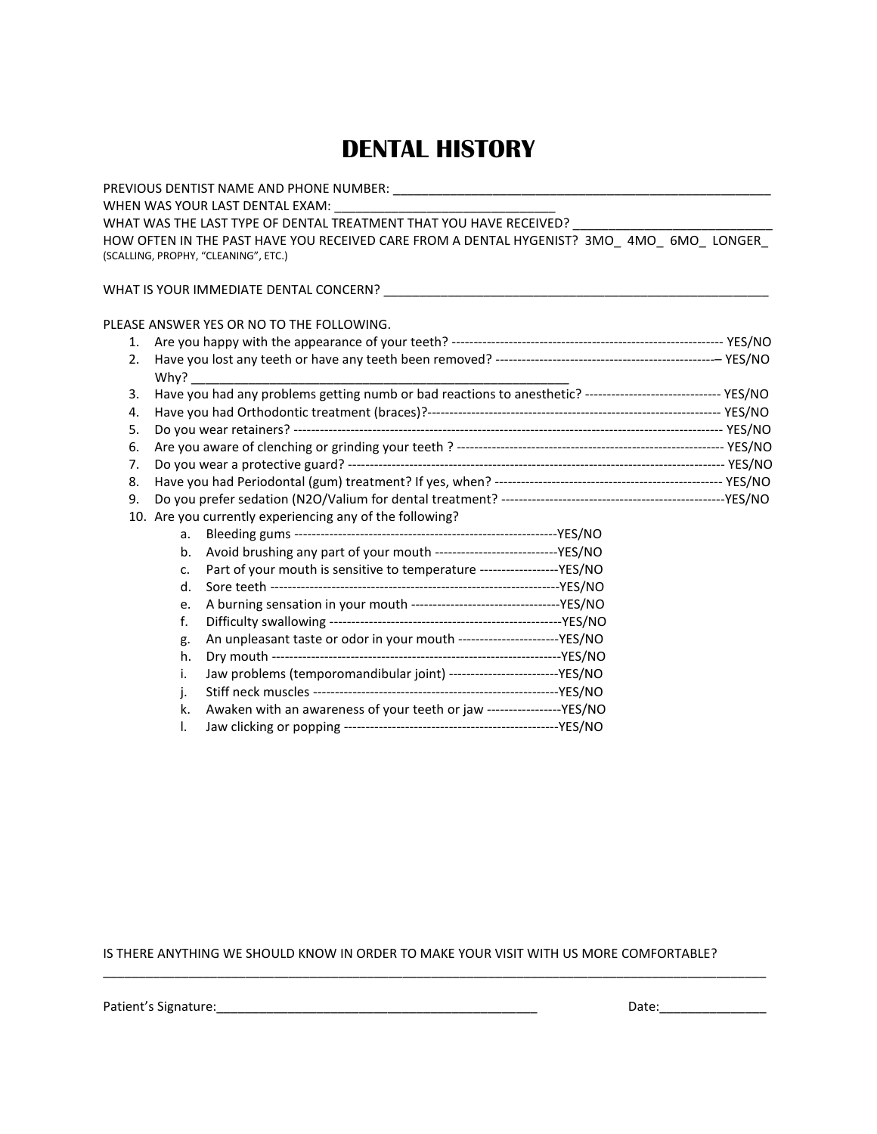### **DENTAL HISTORY**

|    |      | WHEN WAS YOUR LAST DENTAL EXAM:                                                                                                 |  |
|----|------|---------------------------------------------------------------------------------------------------------------------------------|--|
|    |      | WHAT WAS THE LAST TYPE OF DENTAL TREATMENT THAT YOU HAVE RECEIVED? _____________                                                |  |
|    |      | HOW OFTEN IN THE PAST HAVE YOU RECEIVED CARE FROM A DENTAL HYGENIST? 3MO 4MO 6MO LONGER<br>(SCALLING, PROPHY, "CLEANING", ETC.) |  |
|    |      |                                                                                                                                 |  |
|    |      | PLEASE ANSWER YES OR NO TO THE FOLLOWING.                                                                                       |  |
| 1. |      |                                                                                                                                 |  |
| 2. | Why? |                                                                                                                                 |  |
| 3. |      | Have you had any problems getting numb or bad reactions to anesthetic? ------------------------------ YES/NO                    |  |
| 4. |      |                                                                                                                                 |  |
| 5. |      |                                                                                                                                 |  |
| 6. |      |                                                                                                                                 |  |
| 7. |      |                                                                                                                                 |  |
| 8. |      |                                                                                                                                 |  |
| 9. |      |                                                                                                                                 |  |
|    |      | 10. Are you currently experiencing any of the following?                                                                        |  |
|    | a.   |                                                                                                                                 |  |
|    | b.   | Avoid brushing any part of your mouth ------------------------------YES/NO                                                      |  |
|    | c.   | Part of your mouth is sensitive to temperature ------------------YES/NO                                                         |  |
|    | d.   |                                                                                                                                 |  |
|    | e.   |                                                                                                                                 |  |
|    | f.   |                                                                                                                                 |  |
|    | g.   | An unpleasant taste or odor in your mouth ------------------------YES/NO                                                        |  |
|    | h.   |                                                                                                                                 |  |
|    | i.   | Jaw problems (temporomandibular joint) --------------------------YES/NO                                                         |  |
|    | j.   |                                                                                                                                 |  |
|    | k.   | Awaken with an awareness of your teeth or jaw -----------------YES/NO                                                           |  |
|    | I.   |                                                                                                                                 |  |

IS THERE ANYTHING WE SHOULD KNOW IN ORDER TO MAKE YOUR VISIT WITH US MORE COMFORTABLE?

 $\overline{\phantom{a}}$  , and the set of the set of the set of the set of the set of the set of the set of the set of the set of the set of the set of the set of the set of the set of the set of the set of the set of the set of the s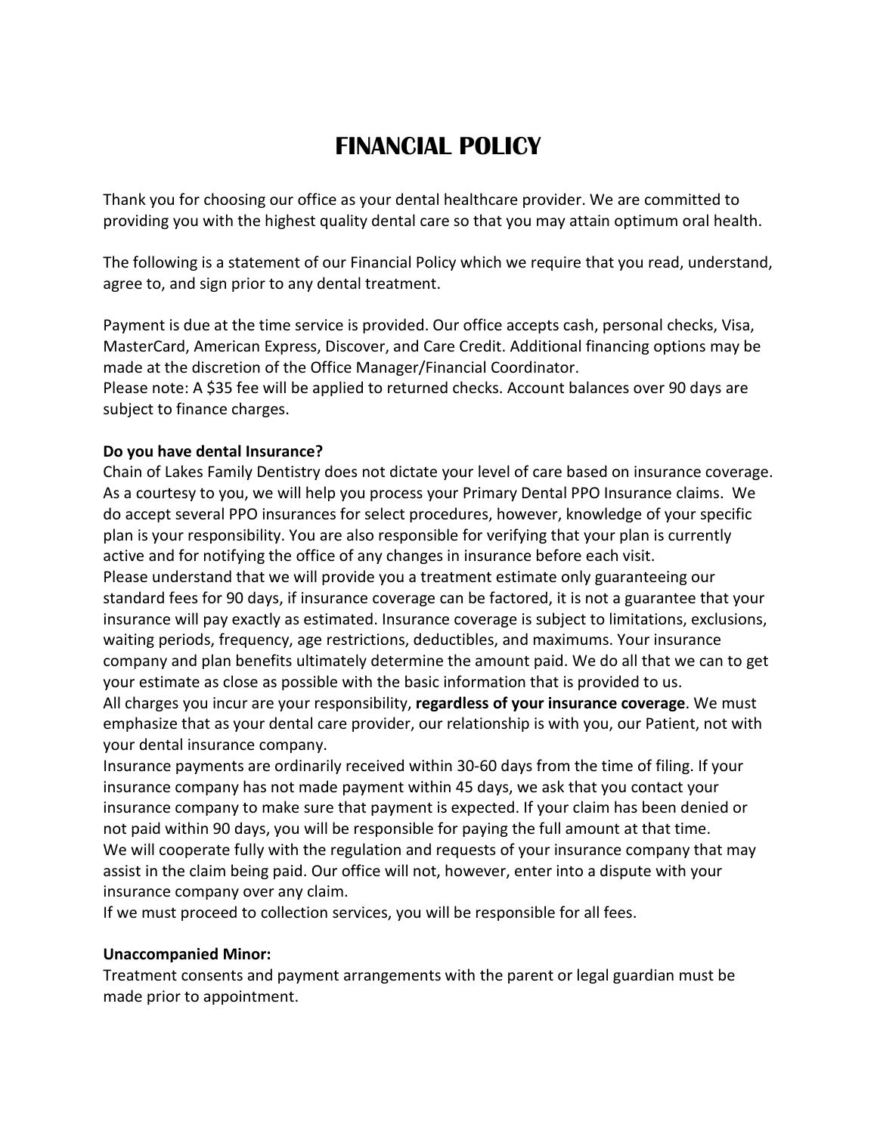## **FINANCIAL POLICY**

Thank you for choosing our office as your dental healthcare provider. We are committed to providing you with the highest quality dental care so that you may attain optimum oral health.

The following is a statement of our Financial Policy which we require that you read, understand, agree to, and sign prior to any dental treatment.

Payment is due at the time service is provided. Our office accepts cash, personal checks, Visa, MasterCard, American Express, Discover, and Care Credit. Additional financing options may be made at the discretion of the Office Manager/Financial Coordinator.

Please note: A \$35 fee will be applied to returned checks. Account balances over 90 days are subject to finance charges.

### **Do you have dental Insurance?**

Chain of Lakes Family Dentistry does not dictate your level of care based on insurance coverage. As a courtesy to you, we will help you process your Primary Dental PPO Insurance claims. We do accept several PPO insurances for select procedures, however, knowledge of your specific plan is your responsibility. You are also responsible for verifying that your plan is currently active and for notifying the office of any changes in insurance before each visit.

Please understand that we will provide you a treatment estimate only guaranteeing our standard fees for 90 days, if insurance coverage can be factored, it is not a guarantee that your insurance will pay exactly as estimated. Insurance coverage is subject to limitations, exclusions, waiting periods, frequency, age restrictions, deductibles, and maximums. Your insurance company and plan benefits ultimately determine the amount paid. We do all that we can to get your estimate as close as possible with the basic information that is provided to us.

All charges you incur are your responsibility, **regardless of your insurance coverage**. We must emphasize that as your dental care provider, our relationship is with you, our Patient, not with your dental insurance company.

Insurance payments are ordinarily received within 30-60 days from the time of filing. If your insurance company has not made payment within 45 days, we ask that you contact your insurance company to make sure that payment is expected. If your claim has been denied or not paid within 90 days, you will be responsible for paying the full amount at that time. We will cooperate fully with the regulation and requests of your insurance company that may assist in the claim being paid. Our office will not, however, enter into a dispute with your insurance company over any claim.

If we must proceed to collection services, you will be responsible for all fees.

### **Unaccompanied Minor:**

Treatment consents and payment arrangements with the parent or legal guardian must be made prior to appointment.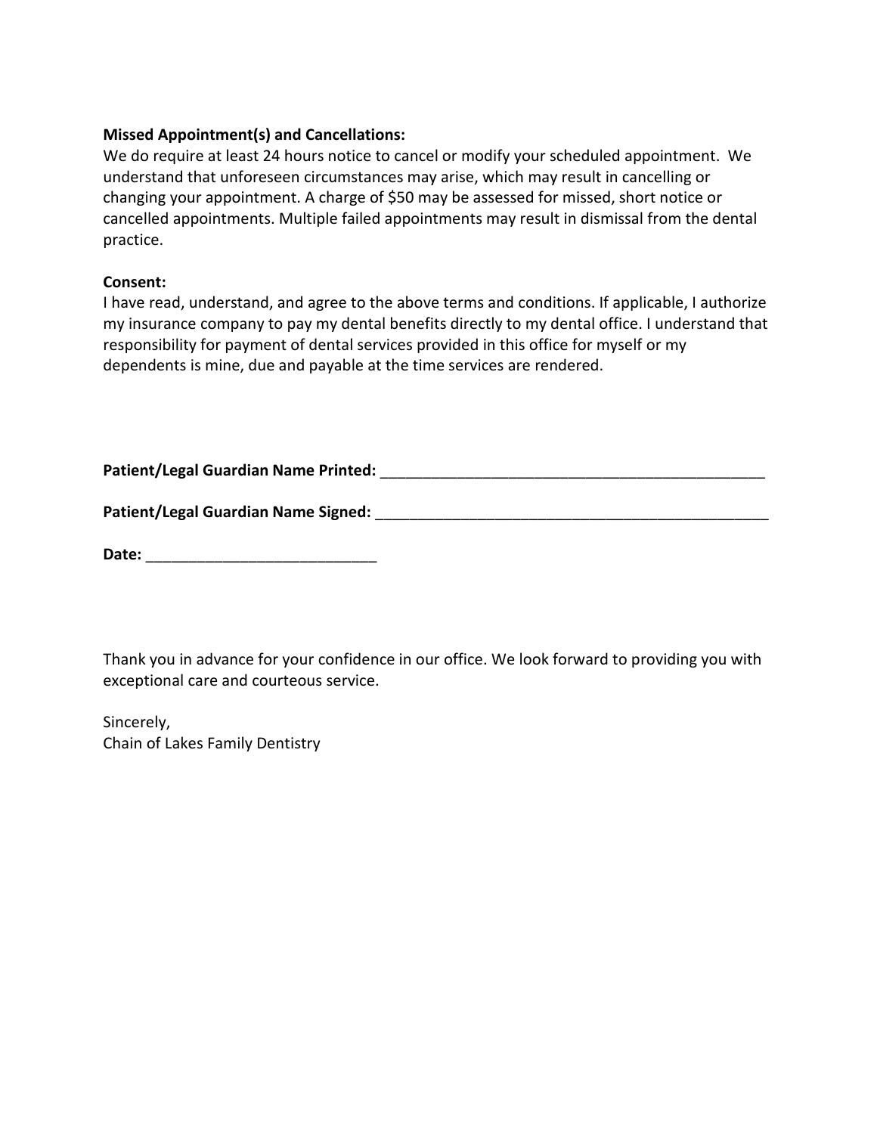### **Missed Appointment(s) and Cancellations:**

We do require at least 24 hours notice to cancel or modify your scheduled appointment. We understand that unforeseen circumstances may arise, which may result in cancelling or changing your appointment. A charge of \$50 may be assessed for missed, short notice or cancelled appointments. Multiple failed appointments may result in dismissal from the dental practice.

### **Consent:**

I have read, understand, and agree to the above terms and conditions. If applicable, I authorize my insurance company to pay my dental benefits directly to my dental office. I understand that responsibility for payment of dental services provided in this office for myself or my dependents is mine, due and payable at the time services are rendered.

| Patient/Legal Guardian Name Printed: |  |
|--------------------------------------|--|
|--------------------------------------|--|

Patient/Legal Guardian Name Signed: **Name Signed: Name of Signed** and Signed and Signed and Signed and Signed and Signed and Signed and Signed and Signed and Signed and Signed and Signed and Signed and Signed and Signed

|--|

Thank you in advance for your confidence in our office. We look forward to providing you with exceptional care and courteous service.

Sincerely, Chain of Lakes Family Dentistry